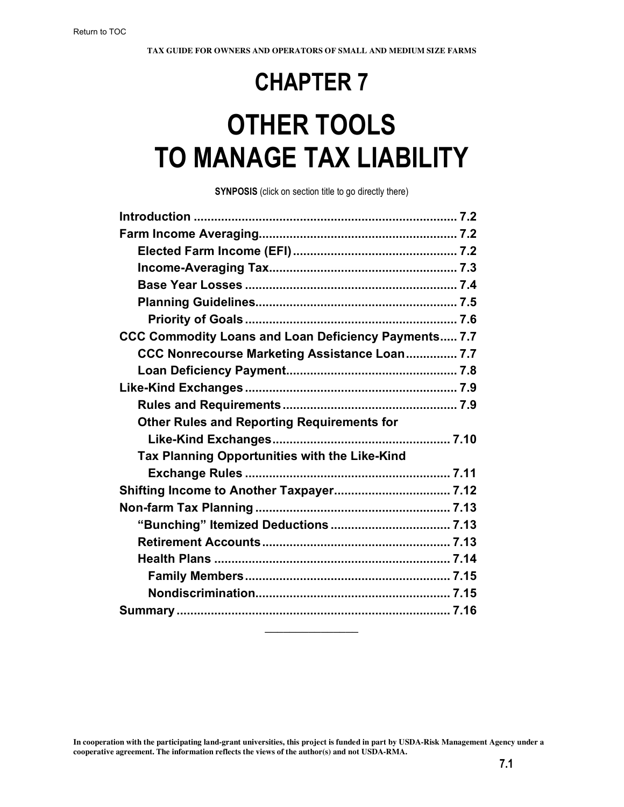## **CHAPTER 7**

# **OTHER TOOLS TO MANAGE TAX LIABILITY**

**SYNPOSIS** (click on section title to go directly there)

| CCC Commodity Loans and Loan Deficiency Payments 7.7 |  |
|------------------------------------------------------|--|
| CCC Nonrecourse Marketing Assistance Loan 7.7        |  |
|                                                      |  |
|                                                      |  |
|                                                      |  |
| <b>Other Rules and Reporting Requirements for</b>    |  |
|                                                      |  |
| Tax Planning Opportunities with the Like-Kind        |  |
|                                                      |  |
|                                                      |  |
|                                                      |  |
|                                                      |  |
|                                                      |  |
|                                                      |  |
|                                                      |  |
|                                                      |  |
|                                                      |  |
|                                                      |  |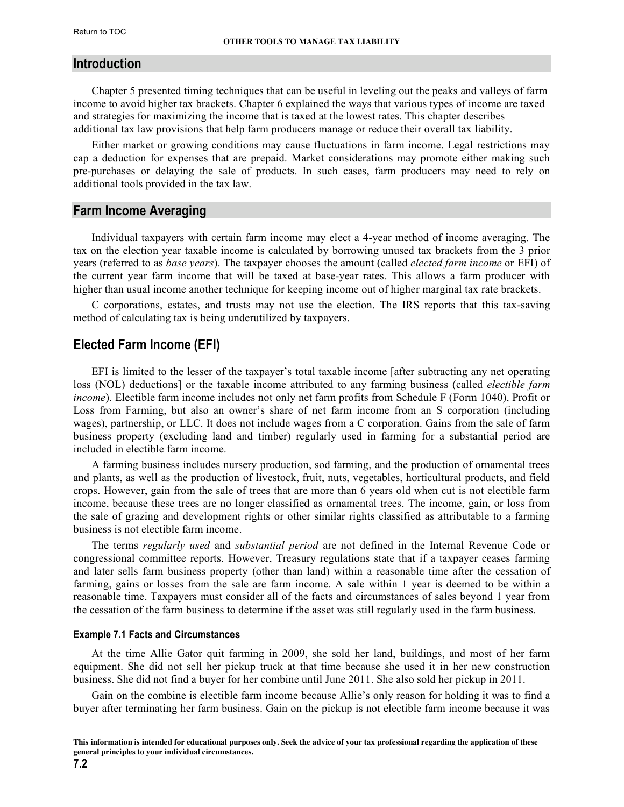## <span id="page-1-0"></span>**Introduction**

Chapter 5 presented timing techniques that can be useful in leveling out the peaks and valleys of farm income to avoid higher tax brackets. Chapter 6 explained the ways that various types of income are taxed and strategies for maximizing the income that is taxed at the lowest rates. This chapter describes additional tax law provisions that help farm producers manage or reduce their overall tax liability.

Either market or growing conditions may cause fluctuations in farm income. Legal restrictions may cap a deduction for expenses that are prepaid. Market considerations may promote either making such pre-purchases or delaying the sale of products. In such cases, farm producers may need to rely on additional tools provided in the tax law.

## **Farm Income Averaging**

Individual taxpayers with certain farm income may elect a 4-year method of income averaging. The tax on the election year taxable income is calculated by borrowing unused tax brackets from the 3 prior years (referred to as *base years*). The taxpayer chooses the amount (called *elected farm income* or EFI) of the current year farm income that will be taxed at base-year rates. This allows a farm producer with higher than usual income another technique for keeping income out of higher marginal tax rate brackets.

C corporations, estates, and trusts may not use the election. The IRS reports that this tax-saving method of calculating tax is being underutilized by taxpayers.

## **Elected Farm Income (EFI)**

EFI is limited to the lesser of the taxpayer's total taxable income [after subtracting any net operating loss (NOL) deductions] or the taxable income attributed to any farming business (called *electible farm income*). Electible farm income includes not only net farm profits from Schedule F (Form 1040), Profit or Loss from Farming, but also an owner's share of net farm income from an S corporation (including wages), partnership, or LLC. It does not include wages from a C corporation. Gains from the sale of farm business property (excluding land and timber) regularly used in farming for a substantial period are included in electible farm income.

A farming business includes nursery production, sod farming, and the production of ornamental trees and plants, as well as the production of livestock, fruit, nuts, vegetables, horticultural products, and field crops. However, gain from the sale of trees that are more than 6 years old when cut is not electible farm income, because these trees are no longer classified as ornamental trees. The income, gain, or loss from the sale of grazing and development rights or other similar rights classified as attributable to a farming business is not electible farm income.

The terms *regularly used* and *substantial period* are not defined in the Internal Revenue Code or congressional committee reports. However, Treasury regulations state that if a taxpayer ceases farming and later sells farm business property (other than land) within a reasonable time after the cessation of farming, gains or losses from the sale are farm income. A sale within 1 year is deemed to be within a reasonable time. Taxpayers must consider all of the facts and circumstances of sales beyond 1 year from the cessation of the farm business to determine if the asset was still regularly used in the farm business.

#### **Example 7.1 Facts and Circumstances**

At the time Allie Gator quit farming in 2009, she sold her land, buildings, and most of her farm equipment. She did not sell her pickup truck at that time because she used it in her new construction business. She did not find a buyer for her combine until June 2011. She also sold her pickup in 2011.

Gain on the combine is electible farm income because Allie's only reason for holding it was to find a buyer after terminating her farm business. Gain on the pickup is not electible farm income because it was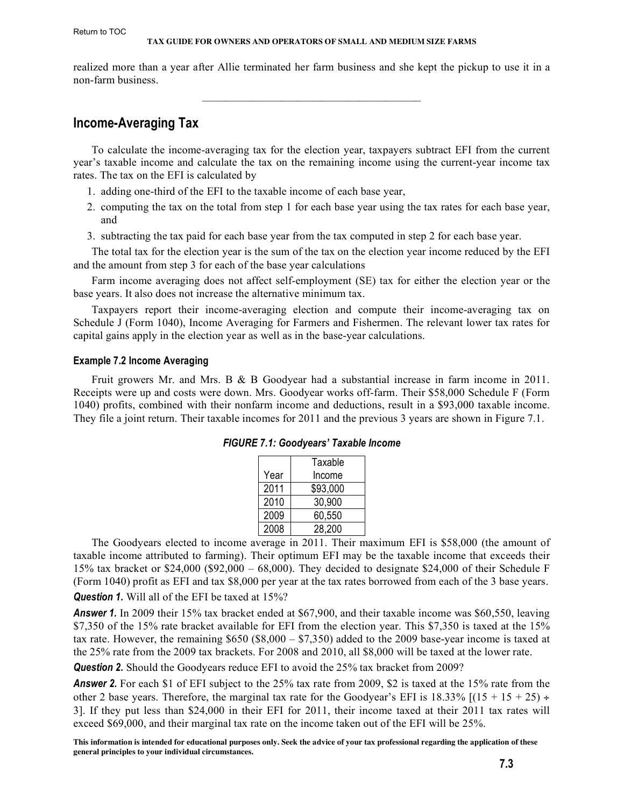<span id="page-2-0"></span>realized more than a year after Allie terminated her farm business and she kept the pickup to use it in a non-farm business.

 $\overline{\phantom{a}}$  , and the set of the set of the set of the set of the set of the set of the set of the set of the set of the set of the set of the set of the set of the set of the set of the set of the set of the set of the s

## **Income-Averaging Tax**

To calculate the income-averaging tax for the election year, taxpayers subtract EFI from the current year's taxable income and calculate the tax on the remaining income using the current-year income tax rates. The tax on the EFI is calculated by

- 1. adding one-third of the EFI to the taxable income of each base year,
- 2. computing the tax on the total from step 1 for each base year using the tax rates for each base year, and
- 3. subtracting the tax paid for each base year from the tax computed in step 2 for each base year.

The total tax for the election year is the sum of the tax on the election year income reduced by the EFI and the amount from step 3 for each of the base year calculations

Farm income averaging does not affect self-employment (SE) tax for either the election year or the base years. It also does not increase the alternative minimum tax.

Taxpayers report their income-averaging election and compute their income-averaging tax on Schedule J (Form 1040), Income Averaging for Farmers and Fishermen. The relevant lower tax rates for capital gains apply in the election year as well as in the base-year calculations.

#### **Example 7.2 Income Averaging**

Fruit growers Mr. and Mrs. B & B Goodyear had a substantial increase in farm income in 2011. Receipts were up and costs were down. Mrs. Goodyear works off-farm. Their \$58,000 Schedule F (Form 1040) profits, combined with their nonfarm income and deductions, result in a \$93,000 taxable income. They file a joint return. Their taxable incomes for 2011 and the previous 3 years are shown in Figure 7.1.

|  |      | Taxable  |
|--|------|----------|
|  | Year | Income   |
|  | 2011 | \$93,000 |
|  | 2010 | 30,900   |
|  | 2009 | 60,550   |
|  | 2008 | 28,200   |

| FIGURE 7.1: Goodyears' Taxable Income |  |  |  |
|---------------------------------------|--|--|--|
|---------------------------------------|--|--|--|

The Goodyears elected to income average in 2011. Their maximum EFI is \$58,000 (the amount of taxable income attributed to farming). Their optimum EFI may be the taxable income that exceeds their 15% tax bracket or \$24,000 (\$92,000 – 68,000). They decided to designate \$24,000 of their Schedule F (Form 1040) profit as EFI and tax \$8,000 per year at the tax rates borrowed from each of the 3 base years.

**Question 1.** Will all of the EFI be taxed at 15%?

*Answer 1.* In 2009 their 15% tax bracket ended at \$67,900, and their taxable income was \$60,550, leaving \$7,350 of the 15% rate bracket available for EFI from the election year. This \$7,350 is taxed at the 15% tax rate. However, the remaining \$650 (\$8,000 – \$7,350) added to the 2009 base-year income is taxed at the 25% rate from the 2009 tax brackets. For 2008 and 2010, all \$8,000 will be taxed at the lower rate.

*Question 2.* Should the Goodyears reduce EFI to avoid the 25% tax bracket from 2009?

**Answer 2.** For each \$1 of EFI subject to the 25% tax rate from 2009, \$2 is taxed at the 15% rate from the other 2 base years. Therefore, the marginal tax rate for the Goodyear's EFI is 18.33%  $[(15 + 15 + 25) \div$ 3]. If they put less than \$24,000 in their EFI for 2011, their income taxed at their 2011 tax rates will exceed \$69,000, and their marginal tax rate on the income taken out of the EFI will be 25%.

**This information is intended for educational purposes only. Seek the advice of your tax professional regarding the application of these general principles to your individual circumstances.**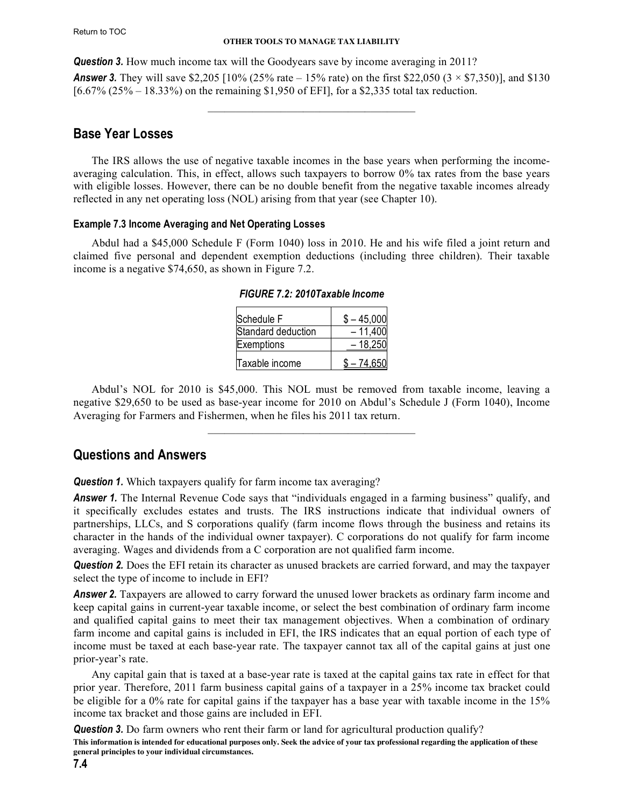<span id="page-3-0"></span>**Question 3.** How much income tax will the Goodyears save by income averaging in 2011? **Answer 3.** They will save \$2,205 [10% (25% rate – 15% rate) on the first \$22,050 (3  $\times$  \$7,350)], and \$130 [6.67% (25% – 18.33%) on the remaining \$1,950 of EFI], for a \$2,335 total tax reduction.

 $\mathcal{L}_\text{max} = \mathcal{L}_\text{max} = \mathcal{L}_\text{max} = \mathcal{L}_\text{max} = \mathcal{L}_\text{max}$ 

## **Base Year Losses**

The IRS allows the use of negative taxable incomes in the base years when performing the incomeaveraging calculation. This, in effect, allows such taxpayers to borrow 0% tax rates from the base years with eligible losses. However, there can be no double benefit from the negative taxable incomes already reflected in any net operating loss (NOL) arising from that year (see Chapter 10).

## **Example 7.3 Income Averaging and Net Operating Losses**

Abdul had a \$45,000 Schedule F (Form 1040) loss in 2010. He and his wife filed a joint return and claimed five personal and dependent exemption deductions (including three children). Their taxable income is a negative \$74,650, as shown in Figure 7.2.

| Schedule F         | $$ -45,000$ |
|--------------------|-------------|
| Standard deduction | $-11,400$   |
| Exemptions         | $-18,250$   |
| Taxable income     | $$ -74.650$ |

*FIGURE 7.2: 2010Taxable Income*

Abdul's NOL for 2010 is \$45,000. This NOL must be removed from taxable income, leaving a negative \$29,650 to be used as base-year income for 2010 on Abdul's Schedule J (Form 1040), Income Averaging for Farmers and Fishermen, when he files his 2011 tax return.

 $\mathcal{L}_\text{max} = \mathcal{L}_\text{max} = \mathcal{L}_\text{max} = \mathcal{L}_\text{max} = \mathcal{L}_\text{max}$ 

## **Questions and Answers**

**Question 1.** Which taxpayers qualify for farm income tax averaging?

*Answer 1.* The Internal Revenue Code says that "individuals engaged in a farming business" qualify, and it specifically excludes estates and trusts. The IRS instructions indicate that individual owners of partnerships, LLCs, and S corporations qualify (farm income flows through the business and retains its character in the hands of the individual owner taxpayer). C corporations do not qualify for farm income averaging. Wages and dividends from a C corporation are not qualified farm income.

*Question 2.* Does the EFI retain its character as unused brackets are carried forward, and may the taxpayer select the type of income to include in EFI?

**Answer 2.** Taxpayers are allowed to carry forward the unused lower brackets as ordinary farm income and keep capital gains in current-year taxable income, or select the best combination of ordinary farm income and qualified capital gains to meet their tax management objectives. When a combination of ordinary farm income and capital gains is included in EFI, the IRS indicates that an equal portion of each type of income must be taxed at each base-year rate. The taxpayer cannot tax all of the capital gains at just one prior-year's rate.

Any capital gain that is taxed at a base-year rate is taxed at the capital gains tax rate in effect for that prior year. Therefore, 2011 farm business capital gains of a taxpayer in a 25% income tax bracket could be eligible for a 0% rate for capital gains if the taxpayer has a base year with taxable income in the 15% income tax bracket and those gains are included in EFI.

**Question 3.** Do farm owners who rent their farm or land for agricultural production qualify?

**This information is intended for educational purposes only. Seek the advice of your tax professional regarding the application of these general principles to your individual circumstances.**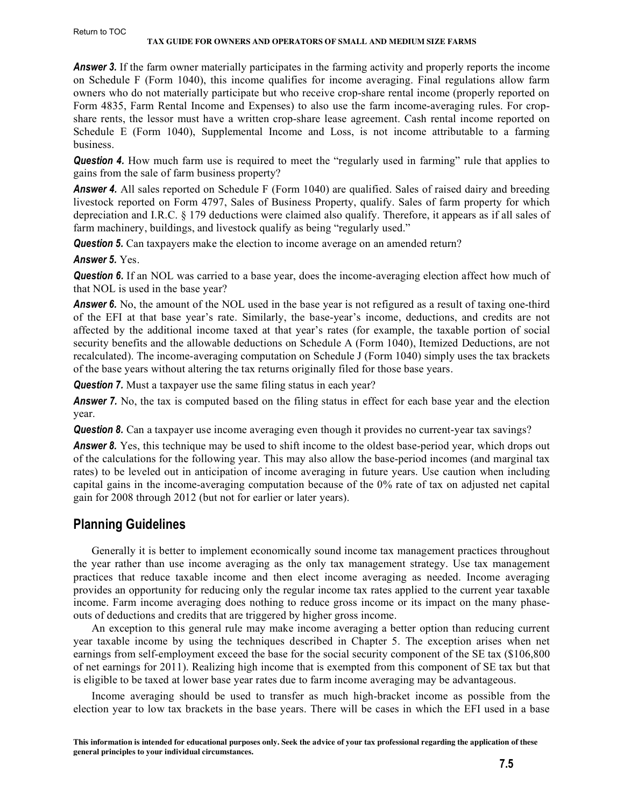<span id="page-4-0"></span>*Answer 3.* If the farm owner materially participates in the farming activity and properly reports the income on Schedule F (Form 1040), this income qualifies for income averaging. Final regulations allow farm owners who do not materially participate but who receive crop-share rental income (properly reported on Form 4835, Farm Rental Income and Expenses) to also use the farm income-averaging rules. For cropshare rents, the lessor must have a written crop-share lease agreement. Cash rental income reported on Schedule E (Form 1040), Supplemental Income and Loss, is not income attributable to a farming business.

**Question 4.** How much farm use is required to meet the "regularly used in farming" rule that applies to gains from the sale of farm business property?

**Answer 4.** All sales reported on Schedule F (Form 1040) are qualified. Sales of raised dairy and breeding livestock reported on Form 4797, Sales of Business Property, qualify. Sales of farm property for which depreciation and I.R.C. § 179 deductions were claimed also qualify. Therefore, it appears as if all sales of farm machinery, buildings, and livestock qualify as being "regularly used."

*Question 5.* Can taxpayers make the election to income average on an amended return?

*Answer 5.* Yes.

**Question 6.** If an NOL was carried to a base year, does the income-averaging election affect how much of that NOL is used in the base year?

**Answer 6.** No, the amount of the NOL used in the base year is not refigured as a result of taxing one-third of the EFI at that base year's rate. Similarly, the base-year's income, deductions, and credits are not affected by the additional income taxed at that year's rates (for example, the taxable portion of social security benefits and the allowable deductions on Schedule A (Form 1040), Itemized Deductions, are not recalculated). The income-averaging computation on Schedule J (Form 1040) simply uses the tax brackets of the base years without altering the tax returns originally filed for those base years.

*Question 7.* Must a taxpayer use the same filing status in each year?

**Answer 7.** No, the tax is computed based on the filing status in effect for each base year and the election year.

*Question 8.* Can a taxpayer use income averaging even though it provides no current-year tax sayings?

**Answer 8.** Yes, this technique may be used to shift income to the oldest base-period year, which drops out of the calculations for the following year. This may also allow the base-period incomes (and marginal tax rates) to be leveled out in anticipation of income averaging in future years. Use caution when including capital gains in the income-averaging computation because of the 0% rate of tax on adjusted net capital gain for 2008 through 2012 (but not for earlier or later years).

## **Planning Guidelines**

Generally it is better to implement economically sound income tax management practices throughout the year rather than use income averaging as the only tax management strategy. Use tax management practices that reduce taxable income and then elect income averaging as needed. Income averaging provides an opportunity for reducing only the regular income tax rates applied to the current year taxable income. Farm income averaging does nothing to reduce gross income or its impact on the many phaseouts of deductions and credits that are triggered by higher gross income.

An exception to this general rule may make income averaging a better option than reducing current year taxable income by using the techniques described in Chapter 5. The exception arises when net earnings from self-employment exceed the base for the social security component of the SE tax (\$106,800 of net earnings for 2011). Realizing high income that is exempted from this component of SE tax but that is eligible to be taxed at lower base year rates due to farm income averaging may be advantageous.

Income averaging should be used to transfer as much high-bracket income as possible from the election year to low tax brackets in the base years. There will be cases in which the EFI used in a base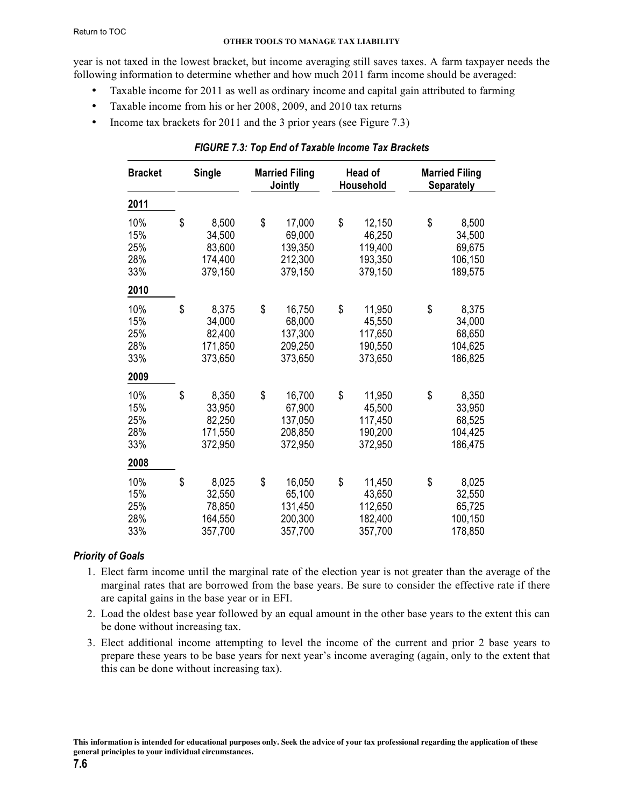<span id="page-5-0"></span>year is not taxed in the lowest bracket, but income averaging still saves taxes. A farm taxpayer needs the following information to determine whether and how much 2011 farm income should be averaged:

- Taxable income for 2011 as well as ordinary income and capital gain attributed to farming
- Taxable income from his or her 2008, 2009, and 2010 tax returns
- Income tax brackets for 2011 and the 3 prior years (see Figure 7.3)

| <b>Bracket</b>                  |    | <b>Single</b>                                   | <b>Married Filing</b><br><b>Jointly</b> |                                                   | Head of<br>Household |                                                   | <b>Married Filing</b><br><b>Separately</b> |                                                 |
|---------------------------------|----|-------------------------------------------------|-----------------------------------------|---------------------------------------------------|----------------------|---------------------------------------------------|--------------------------------------------|-------------------------------------------------|
| 2011                            |    |                                                 |                                         |                                                   |                      |                                                   |                                            |                                                 |
| 10%<br>15%<br>25%<br>28%<br>33% | \$ | 8,500<br>34,500<br>83,600<br>174,400<br>379,150 | \$                                      | 17,000<br>69,000<br>139,350<br>212,300<br>379,150 | \$                   | 12,150<br>46,250<br>119,400<br>193,350<br>379,150 | \$                                         | 8,500<br>34,500<br>69,675<br>106,150<br>189,575 |
| 2010                            |    |                                                 |                                         |                                                   |                      |                                                   |                                            |                                                 |
| 10%<br>15%<br>25%<br>28%<br>33% | \$ | 8,375<br>34,000<br>82,400<br>171,850<br>373,650 | \$                                      | 16,750<br>68,000<br>137,300<br>209,250<br>373,650 | \$                   | 11,950<br>45,550<br>117,650<br>190,550<br>373,650 | \$                                         | 8,375<br>34,000<br>68,650<br>104,625<br>186,825 |
| 2009                            |    |                                                 |                                         |                                                   |                      |                                                   |                                            |                                                 |
| 10%<br>15%<br>25%<br>28%<br>33% | \$ | 8,350<br>33,950<br>82,250<br>171,550<br>372,950 | \$                                      | 16,700<br>67,900<br>137,050<br>208,850<br>372,950 | \$                   | 11,950<br>45,500<br>117,450<br>190,200<br>372,950 | \$                                         | 8,350<br>33,950<br>68,525<br>104,425<br>186,475 |
| 2008                            |    |                                                 |                                         |                                                   |                      |                                                   |                                            |                                                 |
| 10%<br>15%<br>25%<br>28%<br>33% | \$ | 8,025<br>32,550<br>78,850<br>164,550<br>357,700 | \$                                      | 16,050<br>65,100<br>131,450<br>200,300<br>357,700 | \$                   | 11,450<br>43,650<br>112,650<br>182,400<br>357,700 | \$                                         | 8,025<br>32,550<br>65,725<br>100,150<br>178,850 |

## *FIGURE 7.3: Top End of Taxable Income Tax Brackets*

## *Priority of Goals*

- 1. Elect farm income until the marginal rate of the election year is not greater than the average of the marginal rates that are borrowed from the base years. Be sure to consider the effective rate if there are capital gains in the base year or in EFI.
- 2. Load the oldest base year followed by an equal amount in the other base years to the extent this can be done without increasing tax.
- 3. Elect additional income attempting to level the income of the current and prior 2 base years to prepare these years to be base years for next year's income averaging (again, only to the extent that this can be done without increasing tax).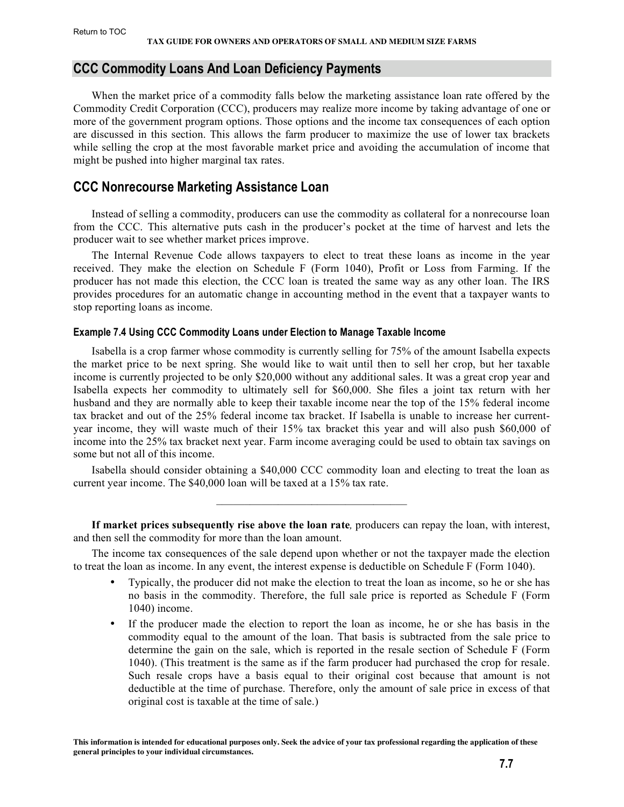## <span id="page-6-0"></span>**CCC Commodity Loans And Loan Deficiency Payments**

When the market price of a commodity falls below the marketing assistance loan rate offered by the Commodity Credit Corporation (CCC), producers may realize more income by taking advantage of one or more of the government program options. Those options and the income tax consequences of each option are discussed in this section. This allows the farm producer to maximize the use of lower tax brackets while selling the crop at the most favorable market price and avoiding the accumulation of income that might be pushed into higher marginal tax rates.

## **CCC Nonrecourse Marketing Assistance Loan**

Instead of selling a commodity, producers can use the commodity as collateral for a nonrecourse loan from the CCC. This alternative puts cash in the producer's pocket at the time of harvest and lets the producer wait to see whether market prices improve.

The Internal Revenue Code allows taxpayers to elect to treat these loans as income in the year received. They make the election on Schedule F (Form 1040), Profit or Loss from Farming. If the producer has not made this election, the CCC loan is treated the same way as any other loan. The IRS provides procedures for an automatic change in accounting method in the event that a taxpayer wants to stop reporting loans as income.

#### **Example 7.4 Using CCC Commodity Loans under Election to Manage Taxable Income**

Isabella is a crop farmer whose commodity is currently selling for 75% of the amount Isabella expects the market price to be next spring. She would like to wait until then to sell her crop, but her taxable income is currently projected to be only \$20,000 without any additional sales. It was a great crop year and Isabella expects her commodity to ultimately sell for \$60,000. She files a joint tax return with her husband and they are normally able to keep their taxable income near the top of the 15% federal income tax bracket and out of the 25% federal income tax bracket. If Isabella is unable to increase her currentyear income, they will waste much of their 15% tax bracket this year and will also push \$60,000 of income into the 25% tax bracket next year. Farm income averaging could be used to obtain tax savings on some but not all of this income.

Isabella should consider obtaining a \$40,000 CCC commodity loan and electing to treat the loan as current year income. The \$40,000 loan will be taxed at a 15% tax rate.

 $\mathcal{L}_\text{max}$  and  $\mathcal{L}_\text{max}$  and  $\mathcal{L}_\text{max}$  and  $\mathcal{L}_\text{max}$ 

**If market prices subsequently rise above the loan rate***,* producers can repay the loan, with interest, and then sell the commodity for more than the loan amount.

The income tax consequences of the sale depend upon whether or not the taxpayer made the election to treat the loan as income. In any event, the interest expense is deductible on Schedule F (Form 1040).

- Typically, the producer did not make the election to treat the loan as income, so he or she has no basis in the commodity. Therefore, the full sale price is reported as Schedule F (Form 1040) income.
- If the producer made the election to report the loan as income, he or she has basis in the commodity equal to the amount of the loan. That basis is subtracted from the sale price to determine the gain on the sale, which is reported in the resale section of Schedule F (Form 1040). (This treatment is the same as if the farm producer had purchased the crop for resale. Such resale crops have a basis equal to their original cost because that amount is not deductible at the time of purchase. Therefore, only the amount of sale price in excess of that original cost is taxable at the time of sale.)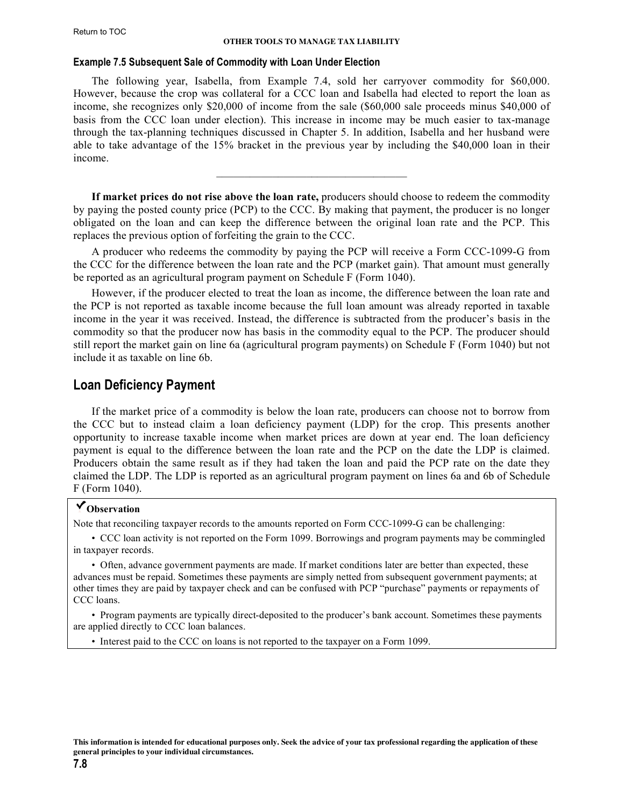#### <span id="page-7-0"></span>**Example 7.5 Subsequent Sale of Commodity with Loan Under Election**

The following year, Isabella, from Example 7.4, sold her carryover commodity for \$60,000. However, because the crop was collateral for a CCC loan and Isabella had elected to report the loan as income, she recognizes only \$20,000 of income from the sale (\$60,000 sale proceeds minus \$40,000 of basis from the CCC loan under election). This increase in income may be much easier to tax-manage through the tax-planning techniques discussed in Chapter 5. In addition, Isabella and her husband were able to take advantage of the 15% bracket in the previous year by including the \$40,000 loan in their income.

**If market prices do not rise above the loan rate,** producers should choose to redeem the commodity by paying the posted county price (PCP) to the CCC. By making that payment, the producer is no longer obligated on the loan and can keep the difference between the original loan rate and the PCP. This replaces the previous option of forfeiting the grain to the CCC.

 $\mathcal{L}_\text{max}$  and  $\mathcal{L}_\text{max}$  and  $\mathcal{L}_\text{max}$  and  $\mathcal{L}_\text{max}$ 

A producer who redeems the commodity by paying the PCP will receive a Form CCC-1099-G from the CCC for the difference between the loan rate and the PCP (market gain). That amount must generally be reported as an agricultural program payment on Schedule F (Form 1040).

However, if the producer elected to treat the loan as income, the difference between the loan rate and the PCP is not reported as taxable income because the full loan amount was already reported in taxable income in the year it was received. Instead, the difference is subtracted from the producer's basis in the commodity so that the producer now has basis in the commodity equal to the PCP. The producer should still report the market gain on line 6a (agricultural program payments) on Schedule F (Form 1040) but not include it as taxable on line 6b.

## **Loan Deficiency Payment**

If the market price of a commodity is below the loan rate, producers can choose not to borrow from the CCC but to instead claim a loan deficiency payment (LDP) for the crop. This presents another opportunity to increase taxable income when market prices are down at year end. The loan deficiency payment is equal to the difference between the loan rate and the PCP on the date the LDP is claimed. Producers obtain the same result as if they had taken the loan and paid the PCP rate on the date they claimed the LDP. The LDP is reported as an agricultural program payment on lines 6a and 6b of Schedule F (Form 1040).

## **Observation**

Note that reconciling taxpayer records to the amounts reported on Form CCC-1099-G can be challenging:

• CCC loan activity is not reported on the Form 1099. Borrowings and program payments may be commingled in taxpayer records.

• Often, advance government payments are made. If market conditions later are better than expected, these advances must be repaid. Sometimes these payments are simply netted from subsequent government payments; at other times they are paid by taxpayer check and can be confused with PCP "purchase" payments or repayments of CCC loans.

• Program payments are typically direct-deposited to the producer's bank account. Sometimes these payments are applied directly to CCC loan balances.

• Interest paid to the CCC on loans is not reported to the taxpayer on a Form 1099.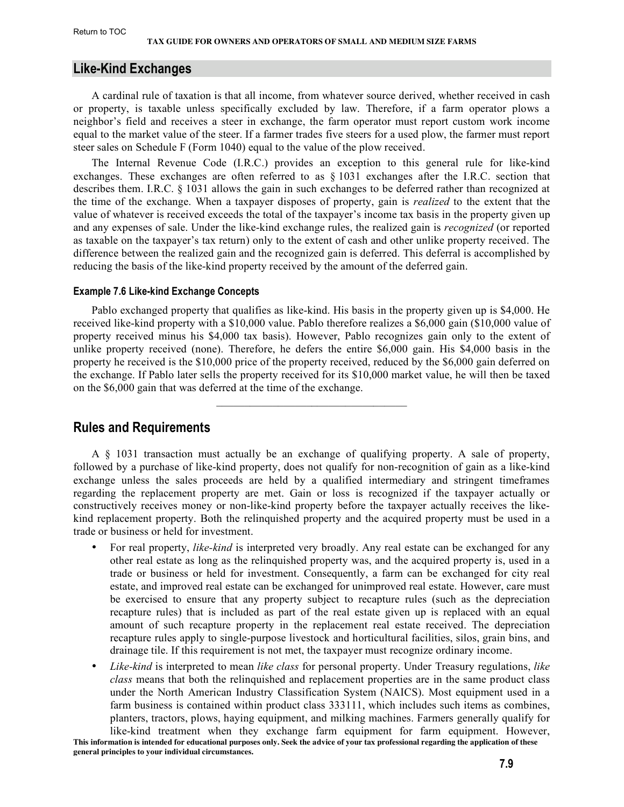## <span id="page-8-0"></span>**Like-Kind Exchanges**

A cardinal rule of taxation is that all income, from whatever source derived, whether received in cash or property, is taxable unless specifically excluded by law. Therefore, if a farm operator plows a neighbor's field and receives a steer in exchange, the farm operator must report custom work income equal to the market value of the steer. If a farmer trades five steers for a used plow, the farmer must report steer sales on Schedule F (Form 1040) equal to the value of the plow received.

The Internal Revenue Code (I.R.C.) provides an exception to this general rule for like-kind exchanges. These exchanges are often referred to as § 1031 exchanges after the I.R.C. section that describes them. I.R.C. § 1031 allows the gain in such exchanges to be deferred rather than recognized at the time of the exchange. When a taxpayer disposes of property, gain is *realized* to the extent that the value of whatever is received exceeds the total of the taxpayer's income tax basis in the property given up and any expenses of sale. Under the like-kind exchange rules, the realized gain is *recognized* (or reported as taxable on the taxpayer's tax return) only to the extent of cash and other unlike property received. The difference between the realized gain and the recognized gain is deferred. This deferral is accomplished by reducing the basis of the like-kind property received by the amount of the deferred gain.

#### **Example 7.6 Like-kind Exchange Concepts**

Pablo exchanged property that qualifies as like-kind. His basis in the property given up is \$4,000. He received like-kind property with a \$10,000 value. Pablo therefore realizes a \$6,000 gain (\$10,000 value of property received minus his \$4,000 tax basis). However, Pablo recognizes gain only to the extent of unlike property received (none). Therefore, he defers the entire \$6,000 gain. His \$4,000 basis in the property he received is the \$10,000 price of the property received, reduced by the \$6,000 gain deferred on the exchange. If Pablo later sells the property received for its \$10,000 market value, he will then be taxed on the \$6,000 gain that was deferred at the time of the exchange.

 $\mathcal{L}_\text{max}$  and  $\mathcal{L}_\text{max}$  and  $\mathcal{L}_\text{max}$  and  $\mathcal{L}_\text{max}$ 

## **Rules and Requirements**

A § 1031 transaction must actually be an exchange of qualifying property. A sale of property, followed by a purchase of like-kind property, does not qualify for non-recognition of gain as a like-kind exchange unless the sales proceeds are held by a qualified intermediary and stringent timeframes regarding the replacement property are met. Gain or loss is recognized if the taxpayer actually or constructively receives money or non-like-kind property before the taxpayer actually receives the likekind replacement property. Both the relinquished property and the acquired property must be used in a trade or business or held for investment.

- For real property, *like-kind* is interpreted very broadly. Any real estate can be exchanged for any other real estate as long as the relinquished property was, and the acquired property is, used in a trade or business or held for investment. Consequently, a farm can be exchanged for city real estate, and improved real estate can be exchanged for unimproved real estate. However, care must be exercised to ensure that any property subject to recapture rules (such as the depreciation recapture rules) that is included as part of the real estate given up is replaced with an equal amount of such recapture property in the replacement real estate received. The depreciation recapture rules apply to single-purpose livestock and horticultural facilities, silos, grain bins, and drainage tile. If this requirement is not met, the taxpayer must recognize ordinary income.
- *Like-kind* is interpreted to mean *like class* for personal property. Under Treasury regulations, *like class* means that both the relinquished and replacement properties are in the same product class under the North American Industry Classification System (NAICS). Most equipment used in a farm business is contained within product class 333111, which includes such items as combines, planters, tractors, plows, haying equipment, and milking machines. Farmers generally qualify for like-kind treatment when they exchange farm equipment for farm equipment. However,

**This information is intended for educational purposes only. Seek the advice of your tax professional regarding the application of these general principles to your individual circumstances.**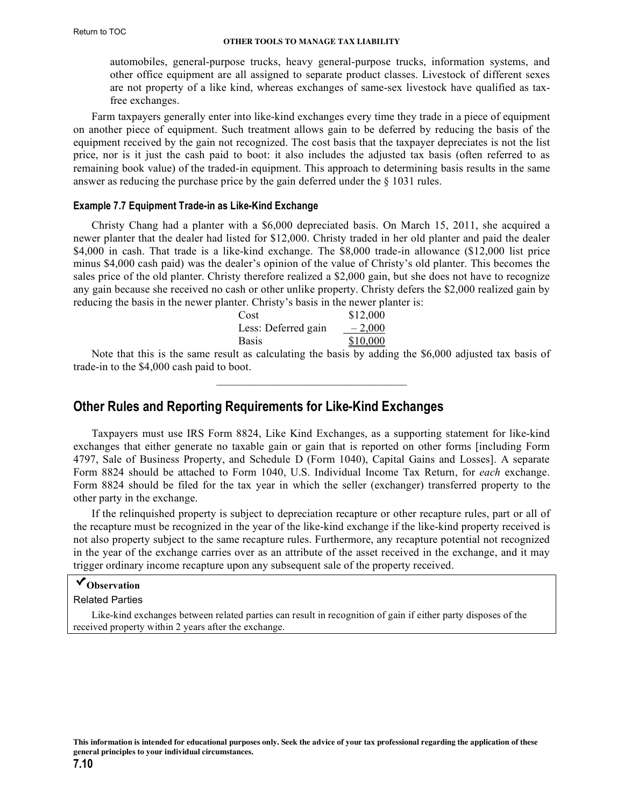<span id="page-9-0"></span>automobiles, general-purpose trucks, heavy general-purpose trucks, information systems, and other office equipment are all assigned to separate product classes. Livestock of different sexes are not property of a like kind, whereas exchanges of same-sex livestock have qualified as taxfree exchanges.

Farm taxpayers generally enter into like-kind exchanges every time they trade in a piece of equipment on another piece of equipment. Such treatment allows gain to be deferred by reducing the basis of the equipment received by the gain not recognized. The cost basis that the taxpayer depreciates is not the list price, nor is it just the cash paid to boot: it also includes the adjusted tax basis (often referred to as remaining book value) of the traded-in equipment. This approach to determining basis results in the same answer as reducing the purchase price by the gain deferred under the § 1031 rules.

#### **Example 7.7 Equipment Trade-in as Like-Kind Exchange**

Christy Chang had a planter with a \$6,000 depreciated basis. On March 15, 2011, she acquired a newer planter that the dealer had listed for \$12,000. Christy traded in her old planter and paid the dealer \$4,000 in cash. That trade is a like-kind exchange. The \$8,000 trade-in allowance (\$12,000 list price minus \$4,000 cash paid) was the dealer's opinion of the value of Christy's old planter. This becomes the sales price of the old planter. Christy therefore realized a \$2,000 gain, but she does not have to recognize any gain because she received no cash or other unlike property. Christy defers the \$2,000 realized gain by reducing the basis in the newer planter. Christy's basis in the newer planter is:

| Cost                | \$12,000 |
|---------------------|----------|
| Less: Deferred gain | $-2,000$ |
| <b>Basis</b>        | \$10,000 |

Note that this is the same result as calculating the basis by adding the \$6,000 adjusted tax basis of trade-in to the \$4,000 cash paid to boot.  $\mathcal{L}_\text{max}$  and  $\mathcal{L}_\text{max}$  and  $\mathcal{L}_\text{max}$  and  $\mathcal{L}_\text{max}$ 

## **Other Rules and Reporting Requirements for Like-Kind Exchanges**

Taxpayers must use IRS Form 8824, Like Kind Exchanges, as a supporting statement for like-kind exchanges that either generate no taxable gain or gain that is reported on other forms [including Form 4797, Sale of Business Property, and Schedule D (Form 1040), Capital Gains and Losses]. A separate Form 8824 should be attached to Form 1040, U.S. Individual Income Tax Return, for *each* exchange. Form 8824 should be filed for the tax year in which the seller (exchanger) transferred property to the other party in the exchange.

If the relinquished property is subject to depreciation recapture or other recapture rules, part or all of the recapture must be recognized in the year of the like-kind exchange if the like-kind property received is not also property subject to the same recapture rules. Furthermore, any recapture potential not recognized in the year of the exchange carries over as an attribute of the asset received in the exchange, and it may trigger ordinary income recapture upon any subsequent sale of the property received.

## **Observation**

Related Parties

Like-kind exchanges between related parties can result in recognition of gain if either party disposes of the received property within 2 years after the exchange.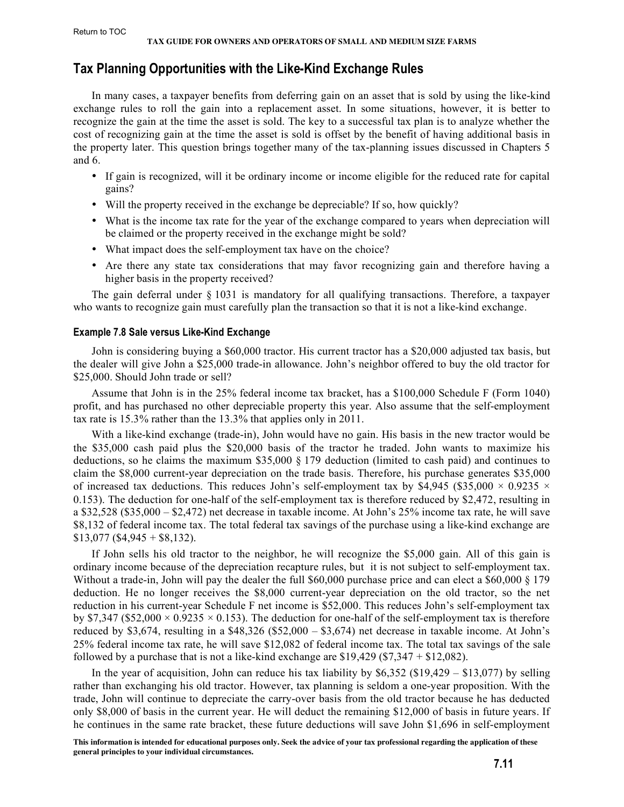## <span id="page-10-0"></span>**Tax Planning Opportunities with the Like-Kind Exchange Rules**

In many cases, a taxpayer benefits from deferring gain on an asset that is sold by using the like-kind exchange rules to roll the gain into a replacement asset. In some situations, however, it is better to recognize the gain at the time the asset is sold. The key to a successful tax plan is to analyze whether the cost of recognizing gain at the time the asset is sold is offset by the benefit of having additional basis in the property later. This question brings together many of the tax-planning issues discussed in Chapters 5 and 6.

- If gain is recognized, will it be ordinary income or income eligible for the reduced rate for capital gains?
- Will the property received in the exchange be depreciable? If so, how quickly?
- What is the income tax rate for the year of the exchange compared to years when depreciation will be claimed or the property received in the exchange might be sold?
- What impact does the self-employment tax have on the choice?
- Are there any state tax considerations that may favor recognizing gain and therefore having a higher basis in the property received?

The gain deferral under § 1031 is mandatory for all qualifying transactions. Therefore, a taxpayer who wants to recognize gain must carefully plan the transaction so that it is not a like-kind exchange.

#### **Example 7.8 Sale versus Like-Kind Exchange**

John is considering buying a \$60,000 tractor. His current tractor has a \$20,000 adjusted tax basis, but the dealer will give John a \$25,000 trade-in allowance. John's neighbor offered to buy the old tractor for \$25,000. Should John trade or sell?

Assume that John is in the 25% federal income tax bracket, has a \$100,000 Schedule F (Form 1040) profit, and has purchased no other depreciable property this year. Also assume that the self-employment tax rate is 15.3% rather than the 13.3% that applies only in 2011.

With a like-kind exchange (trade-in), John would have no gain. His basis in the new tractor would be the \$35,000 cash paid plus the \$20,000 basis of the tractor he traded. John wants to maximize his deductions, so he claims the maximum \$35,000 § 179 deduction (limited to cash paid) and continues to claim the \$8,000 current-year depreciation on the trade basis. Therefore, his purchase generates \$35,000 of increased tax deductions. This reduces John's self-employment tax by \$4,945 (\$35,000  $\times$  0.9235  $\times$ 0.153). The deduction for one-half of the self-employment tax is therefore reduced by \$2,472, resulting in a \$32,528 (\$35,000 – \$2,472) net decrease in taxable income. At John's 25% income tax rate, he will save \$8,132 of federal income tax. The total federal tax savings of the purchase using a like-kind exchange are  $$13,077$  (\$4,945 + \$8,132).

If John sells his old tractor to the neighbor, he will recognize the \$5,000 gain. All of this gain is ordinary income because of the depreciation recapture rules, but it is not subject to self-employment tax. Without a trade-in, John will pay the dealer the full \$60,000 purchase price and can elect a \$60,000 § 179 deduction. He no longer receives the \$8,000 current-year depreciation on the old tractor, so the net reduction in his current-year Schedule F net income is \$52,000. This reduces John's self-employment tax by \$7,347 (\$52,000  $\times$  0.9235  $\times$  0.153). The deduction for one-half of the self-employment tax is therefore reduced by \$3,674, resulting in a \$48,326 (\$52,000 – \$3,674) net decrease in taxable income. At John's 25% federal income tax rate, he will save \$12,082 of federal income tax. The total tax savings of the sale followed by a purchase that is not a like-kind exchange are  $$19,429$  (\$7,347 + \$12,082).

In the year of acquisition, John can reduce his tax liability by  $$6,352$  (\$19,429 – \$13,077) by selling rather than exchanging his old tractor. However, tax planning is seldom a one-year proposition. With the trade, John will continue to depreciate the carry-over basis from the old tractor because he has deducted only \$8,000 of basis in the current year. He will deduct the remaining \$12,000 of basis in future years. If he continues in the same rate bracket, these future deductions will save John \$1,696 in self-employment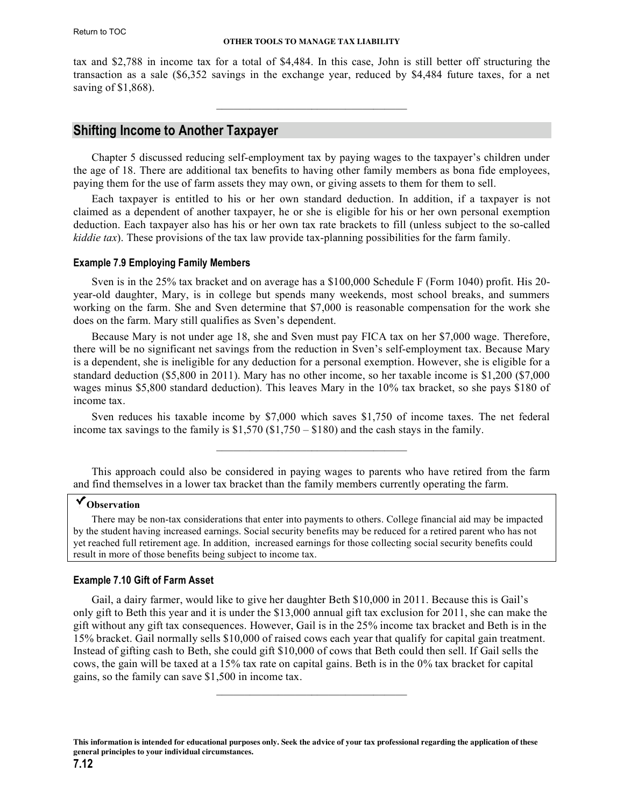<span id="page-11-0"></span>tax and \$2,788 in income tax for a total of \$4,484. In this case, John is still better off structuring the transaction as a sale (\$6,352 savings in the exchange year, reduced by \$4,484 future taxes, for a net saving of \$1,868).

 $\mathcal{L}_\text{max}$  and  $\mathcal{L}_\text{max}$  and  $\mathcal{L}_\text{max}$  and  $\mathcal{L}_\text{max}$ 

## **Shifting Income to Another Taxpayer**

Chapter 5 discussed reducing self-employment tax by paying wages to the taxpayer's children under the age of 18. There are additional tax benefits to having other family members as bona fide employees, paying them for the use of farm assets they may own, or giving assets to them for them to sell.

Each taxpayer is entitled to his or her own standard deduction. In addition, if a taxpayer is not claimed as a dependent of another taxpayer, he or she is eligible for his or her own personal exemption deduction. Each taxpayer also has his or her own tax rate brackets to fill (unless subject to the so-called *kiddie tax*). These provisions of the tax law provide tax-planning possibilities for the farm family.

#### **Example 7.9 Employing Family Members**

Sven is in the 25% tax bracket and on average has a \$100,000 Schedule F (Form 1040) profit. His 20 year-old daughter, Mary, is in college but spends many weekends, most school breaks, and summers working on the farm. She and Sven determine that \$7,000 is reasonable compensation for the work she does on the farm. Mary still qualifies as Sven's dependent.

Because Mary is not under age 18, she and Sven must pay FICA tax on her \$7,000 wage. Therefore, there will be no significant net savings from the reduction in Sven's self-employment tax. Because Mary is a dependent, she is ineligible for any deduction for a personal exemption. However, she is eligible for a standard deduction (\$5,800 in 2011). Mary has no other income, so her taxable income is \$1,200 (\$7,000 wages minus \$5,800 standard deduction). This leaves Mary in the 10% tax bracket, so she pays \$180 of income tax.

Sven reduces his taxable income by \$7,000 which saves \$1,750 of income taxes. The net federal income tax savings to the family is  $$1,570 ($1,750 - $180)$  and the cash stays in the family.

 $\mathcal{L}_\text{max}$  and  $\mathcal{L}_\text{max}$  and  $\mathcal{L}_\text{max}$  and  $\mathcal{L}_\text{max}$ 

This approach could also be considered in paying wages to parents who have retired from the farm and find themselves in a lower tax bracket than the family members currently operating the farm.

## **Observation**

There may be non-tax considerations that enter into payments to others. College financial aid may be impacted by the student having increased earnings. Social security benefits may be reduced for a retired parent who has not yet reached full retirement age. In addition, increased earnings for those collecting social security benefits could result in more of those benefits being subject to income tax.

#### **Example 7.10 Gift of Farm Asset**

Gail, a dairy farmer, would like to give her daughter Beth \$10,000 in 2011. Because this is Gail's only gift to Beth this year and it is under the \$13,000 annual gift tax exclusion for 2011, she can make the gift without any gift tax consequences. However, Gail is in the 25% income tax bracket and Beth is in the 15% bracket. Gail normally sells \$10,000 of raised cows each year that qualify for capital gain treatment. Instead of gifting cash to Beth, she could gift \$10,000 of cows that Beth could then sell. If Gail sells the cows, the gain will be taxed at a 15% tax rate on capital gains. Beth is in the 0% tax bracket for capital gains, so the family can save \$1,500 in income tax.

 $\overline{\phantom{a}}$  , where  $\overline{\phantom{a}}$  , where  $\overline{\phantom{a}}$  , where  $\overline{\phantom{a}}$ 

**This information is intended for educational purposes only. Seek the advice of your tax professional regarding the application of these general principles to your individual circumstances.**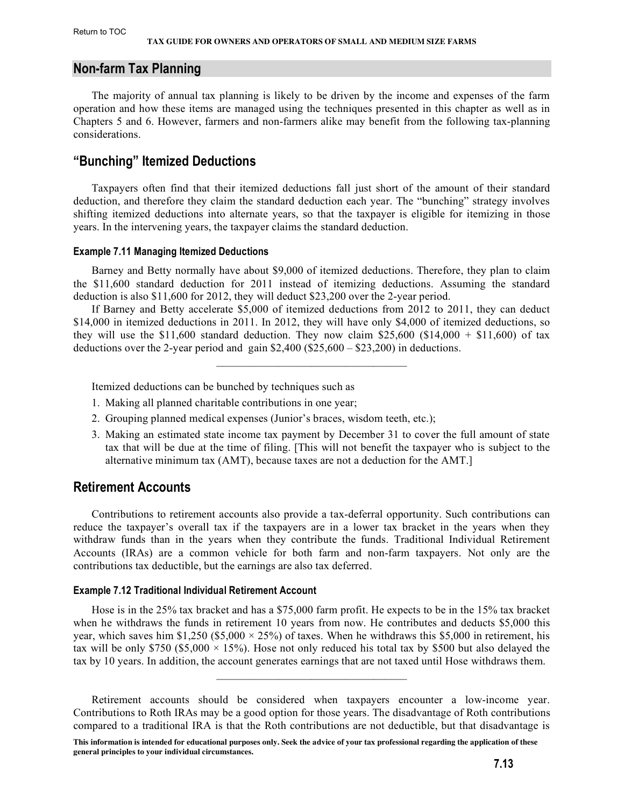## <span id="page-12-0"></span>**Non-farm Tax Planning**

The majority of annual tax planning is likely to be driven by the income and expenses of the farm operation and how these items are managed using the techniques presented in this chapter as well as in Chapters 5 and 6. However, farmers and non-farmers alike may benefit from the following tax-planning considerations.

## **"Bunching" Itemized Deductions**

Taxpayers often find that their itemized deductions fall just short of the amount of their standard deduction, and therefore they claim the standard deduction each year. The "bunching" strategy involves shifting itemized deductions into alternate years, so that the taxpayer is eligible for itemizing in those years. In the intervening years, the taxpayer claims the standard deduction.

#### **Example 7.11 Managing Itemized Deductions**

Barney and Betty normally have about \$9,000 of itemized deductions. Therefore, they plan to claim the \$11,600 standard deduction for 2011 instead of itemizing deductions. Assuming the standard deduction is also \$11,600 for 2012, they will deduct \$23,200 over the 2-year period.

If Barney and Betty accelerate \$5,000 of itemized deductions from 2012 to 2011, they can deduct \$14,000 in itemized deductions in 2011. In 2012, they will have only \$4,000 of itemized deductions, so they will use the \$11,600 standard deduction. They now claim \$25,600 (\$14,000 + \$11,600) of tax deductions over the 2-year period and gain \$2,400 (\$25,600 – \$23,200) in deductions.

 $\mathcal{L}_\text{max} = \mathcal{L}_\text{max} = \mathcal{L}_\text{max} = \mathcal{L}_\text{max} = \mathcal{L}_\text{max}$ 

Itemized deductions can be bunched by techniques such as

- 1. Making all planned charitable contributions in one year;
- 2. Grouping planned medical expenses (Junior's braces, wisdom teeth, etc.);
- 3. Making an estimated state income tax payment by December 31 to cover the full amount of state tax that will be due at the time of filing. [This will not benefit the taxpayer who is subject to the alternative minimum tax (AMT), because taxes are not a deduction for the AMT.]

## **Retirement Accounts**

Contributions to retirement accounts also provide a tax-deferral opportunity. Such contributions can reduce the taxpayer's overall tax if the taxpayers are in a lower tax bracket in the years when they withdraw funds than in the years when they contribute the funds. Traditional Individual Retirement Accounts (IRAs) are a common vehicle for both farm and non-farm taxpayers. Not only are the contributions tax deductible, but the earnings are also tax deferred.

## **Example 7.12 Traditional Individual Retirement Account**

Hose is in the 25% tax bracket and has a \$75,000 farm profit. He expects to be in the 15% tax bracket when he withdraws the funds in retirement 10 years from now. He contributes and deducts \$5,000 this year, which saves him \$1,250 (\$5,000  $\times$  25%) of taxes. When he withdraws this \$5,000 in retirement, his tax will be only \$750 (\$5,000  $\times$  15%). Hose not only reduced his total tax by \$500 but also delayed the tax by 10 years. In addition, the account generates earnings that are not taxed until Hose withdraws them.

 $\mathcal{L}_\text{max}$  and  $\mathcal{L}_\text{max}$  and  $\mathcal{L}_\text{max}$  and  $\mathcal{L}_\text{max}$ 

Retirement accounts should be considered when taxpayers encounter a low-income year. Contributions to Roth IRAs may be a good option for those years. The disadvantage of Roth contributions compared to a traditional IRA is that the Roth contributions are not deductible, but that disadvantage is

**This information is intended for educational purposes only. Seek the advice of your tax professional regarding the application of these general principles to your individual circumstances.**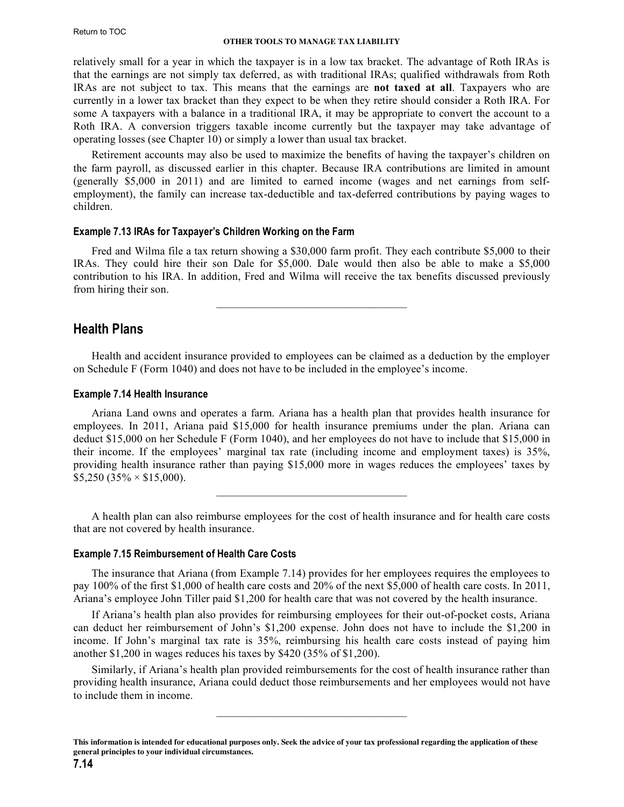<span id="page-13-0"></span>relatively small for a year in which the taxpayer is in a low tax bracket. The advantage of Roth IRAs is that the earnings are not simply tax deferred, as with traditional IRAs; qualified withdrawals from Roth IRAs are not subject to tax. This means that the earnings are **not taxed at all**. Taxpayers who are currently in a lower tax bracket than they expect to be when they retire should consider a Roth IRA. For some A taxpayers with a balance in a traditional IRA, it may be appropriate to convert the account to a Roth IRA. A conversion triggers taxable income currently but the taxpayer may take advantage of operating losses (see Chapter 10) or simply a lower than usual tax bracket.

Retirement accounts may also be used to maximize the benefits of having the taxpayer's children on the farm payroll, as discussed earlier in this chapter. Because IRA contributions are limited in amount (generally \$5,000 in 2011) and are limited to earned income (wages and net earnings from selfemployment), the family can increase tax-deductible and tax-deferred contributions by paying wages to children.

## **Example 7.13 IRAs for Taxpayer's Children Working on the Farm**

Fred and Wilma file a tax return showing a \$30,000 farm profit. They each contribute \$5,000 to their IRAs. They could hire their son Dale for \$5,000. Dale would then also be able to make a \$5,000 contribution to his IRA. In addition, Fred and Wilma will receive the tax benefits discussed previously from hiring their son.

 $\mathcal{L}_\text{max}$  and  $\mathcal{L}_\text{max}$  and  $\mathcal{L}_\text{max}$  and  $\mathcal{L}_\text{max}$ 

## **Health Plans**

Health and accident insurance provided to employees can be claimed as a deduction by the employer on Schedule F (Form 1040) and does not have to be included in the employee's income.

### **Example 7.14 Health Insurance**

Ariana Land owns and operates a farm. Ariana has a health plan that provides health insurance for employees. In 2011, Ariana paid \$15,000 for health insurance premiums under the plan. Ariana can deduct \$15,000 on her Schedule F (Form 1040), and her employees do not have to include that \$15,000 in their income. If the employees' marginal tax rate (including income and employment taxes) is 35%, providing health insurance rather than paying \$15,000 more in wages reduces the employees' taxes by  $$5,250$  (35%  $\times$  \$15,000).

A health plan can also reimburse employees for the cost of health insurance and for health care costs that are not covered by health insurance.

 $\mathcal{L}_\text{max}$  and  $\mathcal{L}_\text{max}$  and  $\mathcal{L}_\text{max}$  and  $\mathcal{L}_\text{max}$ 

## **Example 7.15 Reimbursement of Health Care Costs**

The insurance that Ariana (from Example 7.14) provides for her employees requires the employees to pay 100% of the first \$1,000 of health care costs and 20% of the next \$5,000 of health care costs. In 2011, Ariana's employee John Tiller paid \$1,200 for health care that was not covered by the health insurance.

If Ariana's health plan also provides for reimbursing employees for their out-of-pocket costs, Ariana can deduct her reimbursement of John's \$1,200 expense. John does not have to include the \$1,200 in income. If John's marginal tax rate is 35%, reimbursing his health care costs instead of paying him another \$1,200 in wages reduces his taxes by \$420 (35% of \$1,200).

Similarly, if Ariana's health plan provided reimbursements for the cost of health insurance rather than providing health insurance, Ariana could deduct those reimbursements and her employees would not have to include them in income.

 $\mathcal{L}_\text{max}$  and  $\mathcal{L}_\text{max}$  and  $\mathcal{L}_\text{max}$  and  $\mathcal{L}_\text{max}$ 

**This information is intended for educational purposes only. Seek the advice of your tax professional regarding the application of these general principles to your individual circumstances.**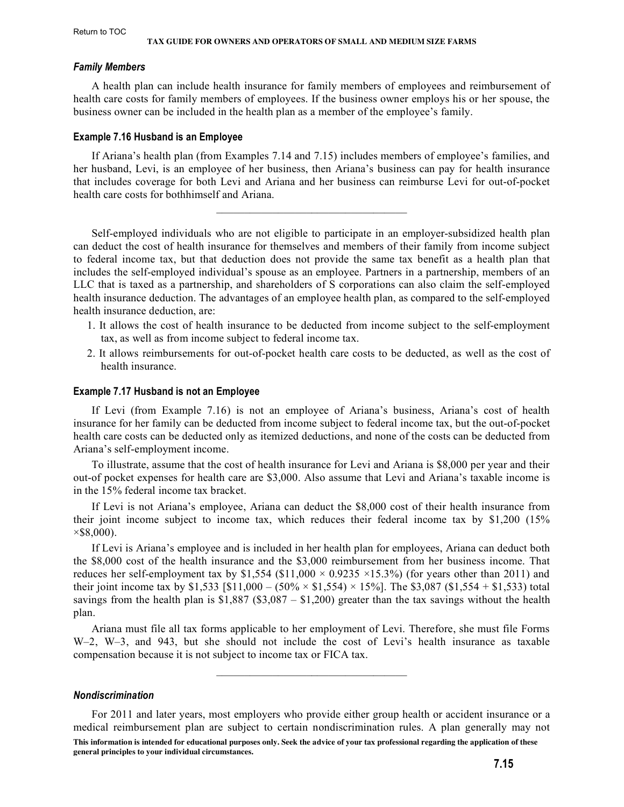#### <span id="page-14-0"></span>*Family Members*

A health plan can include health insurance for family members of employees and reimbursement of health care costs for family members of employees. If the business owner employs his or her spouse, the business owner can be included in the health plan as a member of the employee's family.

#### **Example 7.16 Husband is an Employee**

If Ariana's health plan (from Examples 7.14 and 7.15) includes members of employee's families, and her husband, Levi, is an employee of her business, then Ariana's business can pay for health insurance that includes coverage for both Levi and Ariana and her business can reimburse Levi for out-of-pocket health care costs for bothhimself and Ariana.

 $\mathcal{L}_\text{max} = \mathcal{L}_\text{max}$  , where  $\mathcal{L}_\text{max} = \mathcal{L}_\text{max}$ 

Self-employed individuals who are not eligible to participate in an employer-subsidized health plan can deduct the cost of health insurance for themselves and members of their family from income subject to federal income tax, but that deduction does not provide the same tax benefit as a health plan that includes the self-employed individual's spouse as an employee. Partners in a partnership, members of an LLC that is taxed as a partnership, and shareholders of S corporations can also claim the self-employed health insurance deduction. The advantages of an employee health plan, as compared to the self-employed health insurance deduction, are:

- 1. It allows the cost of health insurance to be deducted from income subject to the self-employment tax, as well as from income subject to federal income tax.
- 2. It allows reimbursements for out-of-pocket health care costs to be deducted, as well as the cost of health insurance.

#### **Example 7.17 Husband is not an Employee**

If Levi (from Example 7.16) is not an employee of Ariana's business, Ariana's cost of health insurance for her family can be deducted from income subject to federal income tax, but the out-of-pocket health care costs can be deducted only as itemized deductions, and none of the costs can be deducted from Ariana's self-employment income.

To illustrate, assume that the cost of health insurance for Levi and Ariana is \$8,000 per year and their out-of pocket expenses for health care are \$3,000. Also assume that Levi and Ariana's taxable income is in the 15% federal income tax bracket.

If Levi is not Ariana's employee, Ariana can deduct the \$8,000 cost of their health insurance from their joint income subject to income tax, which reduces their federal income tax by \$1,200 (15%  $\times$ \$8,000).

If Levi is Ariana's employee and is included in her health plan for employees, Ariana can deduct both the \$8,000 cost of the health insurance and the \$3,000 reimbursement from her business income. That reduces her self-employment tax by \$1,554 (\$11,000  $\times$  0.9235  $\times$ 15.3%) (for years other than 2011) and their joint income tax by \$1,533 [\$11,000 – (50%  $\times$  \$1,554)  $\times$  15%]. The \$3,087 (\$1,554 + \$1,533) total savings from the health plan is  $$1,887$  ( $$3,087 - $1,200$ ) greater than the tax savings without the health plan.

Ariana must file all tax forms applicable to her employment of Levi. Therefore, she must file Forms W–2, W–3, and 943, but she should not include the cost of Levi's health insurance as taxable compensation because it is not subject to income tax or FICA tax.

 $\mathcal{L}_\text{max}$  and  $\mathcal{L}_\text{max}$  and  $\mathcal{L}_\text{max}$  and  $\mathcal{L}_\text{max}$ 

#### *Nondiscrimination*

For 2011 and later years, most employers who provide either group health or accident insurance or a medical reimbursement plan are subject to certain nondiscrimination rules. A plan generally may not

**This information is intended for educational purposes only. Seek the advice of your tax professional regarding the application of these general principles to your individual circumstances.**